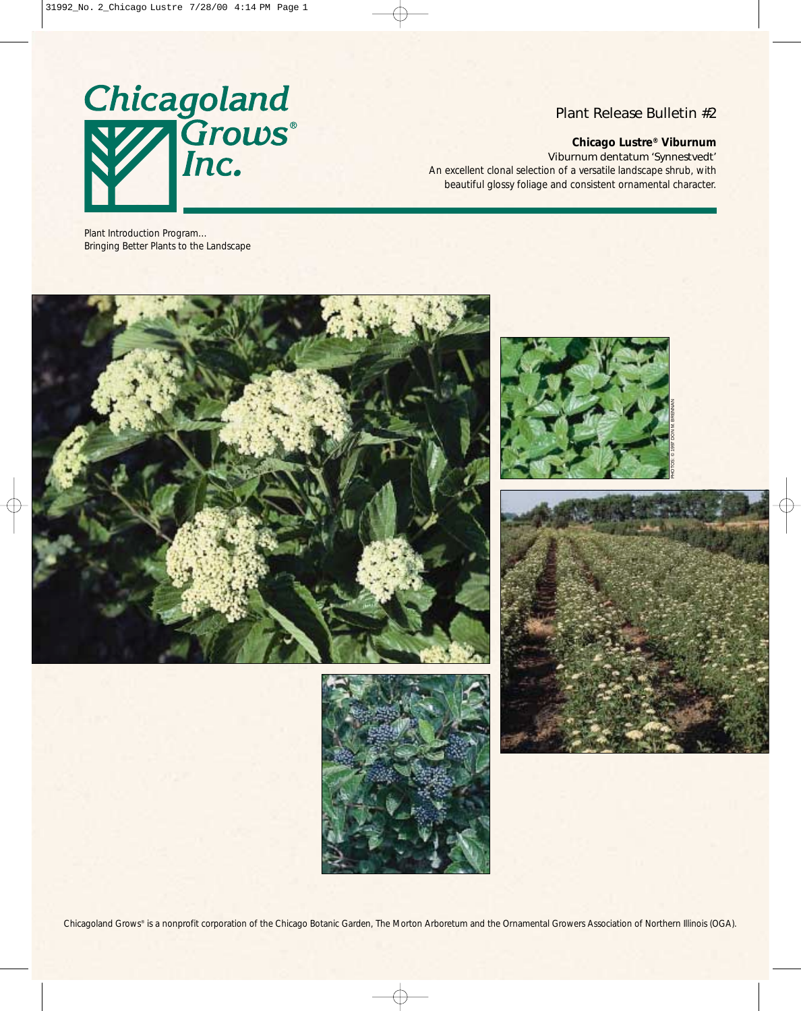

## Plant Release Bulletin #2

### **Chicago Lustre® Viburnum**

*Viburnum dentatum* 'Synnestvedt'

An excellent clonal selection of a versatile landscape shrub, with beautiful glossy foliage and consistent ornamental character.

Plant Introduction Program… Bringing Better Plants to the Landscape